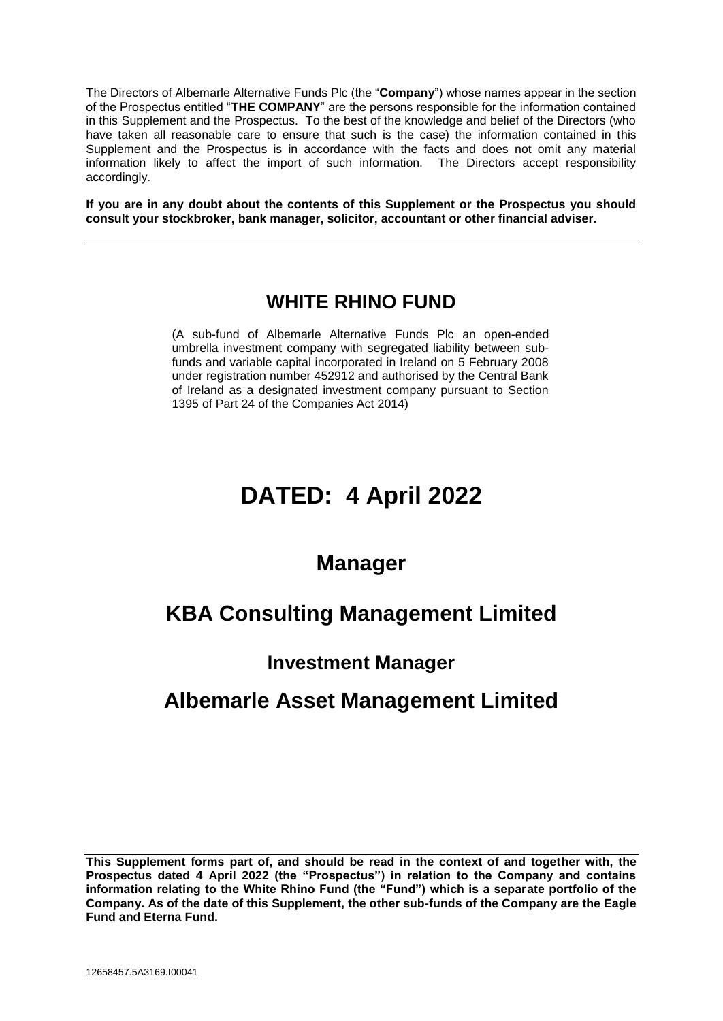The Directors of Albemarle Alternative Funds Plc (the "**Company**") whose names appear in the section of the Prospectus entitled "**THE COMPANY**" are the persons responsible for the information contained in this Supplement and the Prospectus. To the best of the knowledge and belief of the Directors (who have taken all reasonable care to ensure that such is the case) the information contained in this Supplement and the Prospectus is in accordance with the facts and does not omit any material information likely to affect the import of such information. The Directors accept responsibility accordingly.

**If you are in any doubt about the contents of this Supplement or the Prospectus you should consult your stockbroker, bank manager, solicitor, accountant or other financial adviser.**

### **WHITE RHINO FUND**

(A sub-fund of Albemarle Alternative Funds Plc an open-ended umbrella investment company with segregated liability between subfunds and variable capital incorporated in Ireland on 5 February 2008 under registration number 452912 and authorised by the Central Bank of Ireland as a designated investment company pursuant to Section 1395 of Part 24 of the Companies Act 2014)

# **DATED: 4 April 2022**

## **Manager**

## **KBA Consulting Management Limited**

### **Investment Manager**

## **Albemarle Asset Management Limited**

**This Supplement forms part of, and should be read in the context of and together with, the Prospectus dated 4 April 2022 (the "Prospectus") in relation to the Company and contains information relating to the White Rhino Fund (the "Fund") which is a separate portfolio of the Company. As of the date of this Supplement, the other sub-funds of the Company are the Eagle Fund and Eterna Fund.**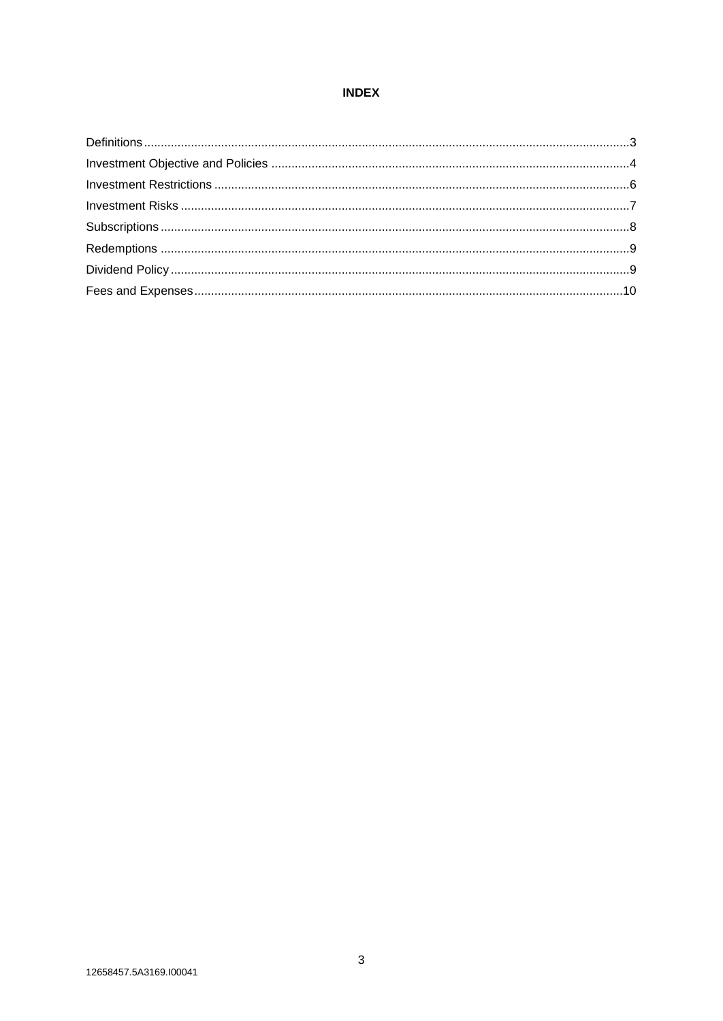#### **INDEX**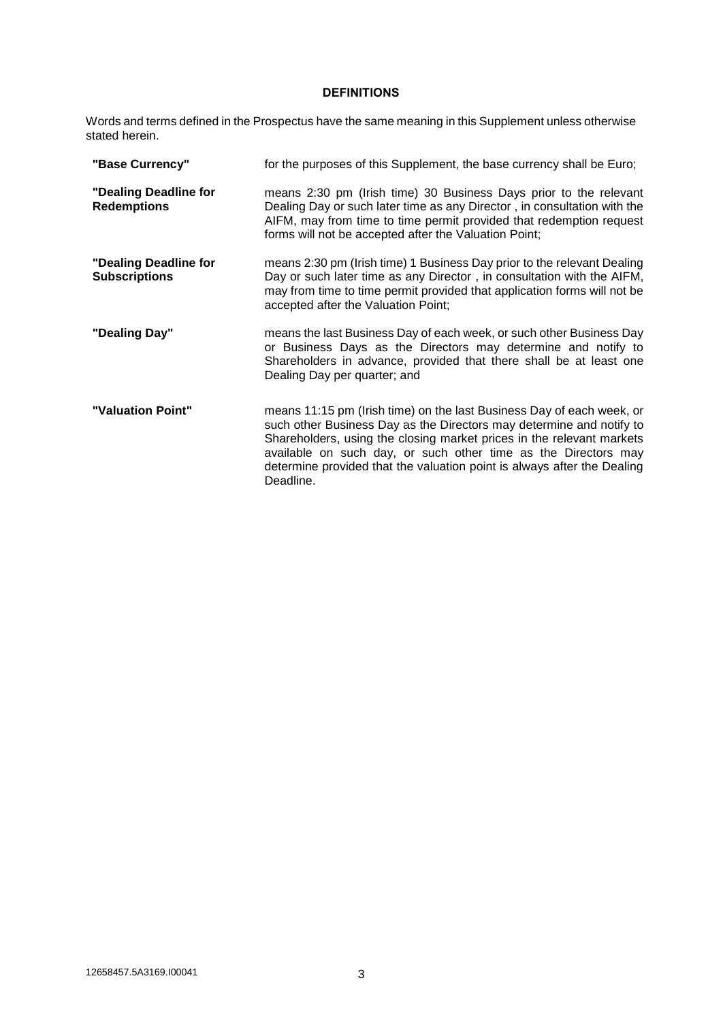#### **DEFINITIONS**

Words and terms defined in the Prospectus have the same meaning in this Supplement unless otherwise stated herein.

| "Base Currency"                               | for the purposes of this Supplement, the base currency shall be Euro;                                                                                                                                                                                                                                                                                                            |
|-----------------------------------------------|----------------------------------------------------------------------------------------------------------------------------------------------------------------------------------------------------------------------------------------------------------------------------------------------------------------------------------------------------------------------------------|
| "Dealing Deadline for<br><b>Redemptions</b>   | means 2:30 pm (Irish time) 30 Business Days prior to the relevant<br>Dealing Day or such later time as any Director, in consultation with the<br>AIFM, may from time to time permit provided that redemption request<br>forms will not be accepted after the Valuation Point;                                                                                                    |
| "Dealing Deadline for<br><b>Subscriptions</b> | means 2:30 pm (Irish time) 1 Business Day prior to the relevant Dealing<br>Day or such later time as any Director, in consultation with the AIFM,<br>may from time to time permit provided that application forms will not be<br>accepted after the Valuation Point;                                                                                                             |
| "Dealing Day"                                 | means the last Business Day of each week, or such other Business Day<br>or Business Days as the Directors may determine and notify to<br>Shareholders in advance, provided that there shall be at least one<br>Dealing Day per quarter; and                                                                                                                                      |
| "Valuation Point"                             | means 11:15 pm (Irish time) on the last Business Day of each week, or<br>such other Business Day as the Directors may determine and notify to<br>Shareholders, using the closing market prices in the relevant markets<br>available on such day, or such other time as the Directors may<br>determine provided that the valuation point is always after the Dealing<br>Deadline. |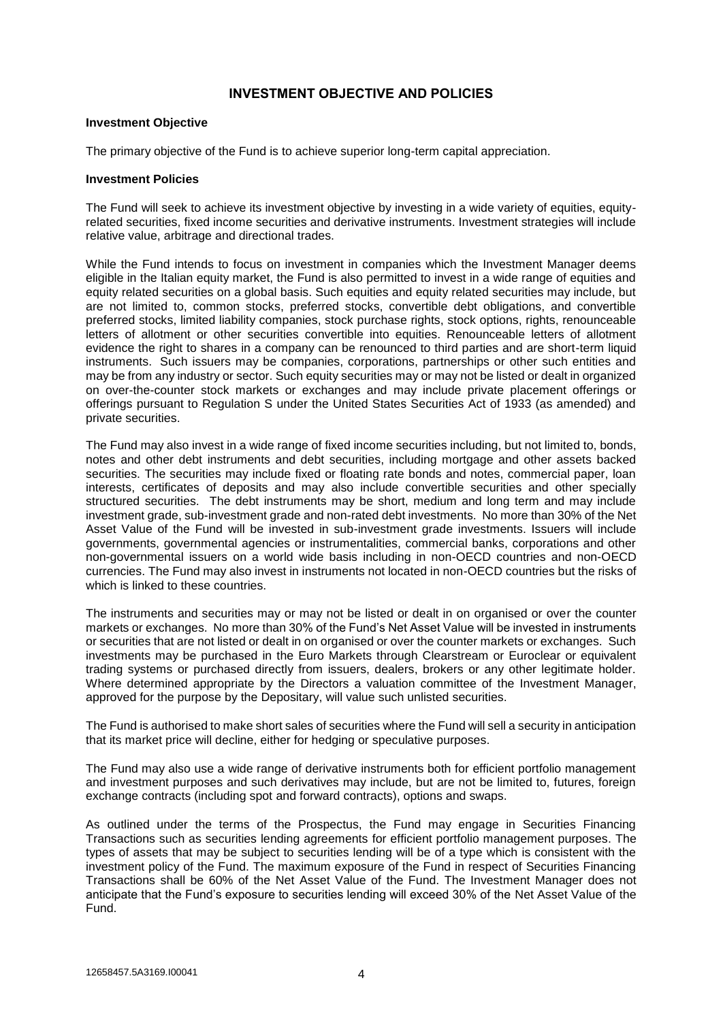#### **INVESTMENT OBJECTIVE AND POLICIES**

#### **Investment Objective**

The primary objective of the Fund is to achieve superior long-term capital appreciation.

#### **Investment Policies**

The Fund will seek to achieve its investment objective by investing in a wide variety of equities, equityrelated securities, fixed income securities and derivative instruments. Investment strategies will include relative value, arbitrage and directional trades.

While the Fund intends to focus on investment in companies which the Investment Manager deems eligible in the Italian equity market, the Fund is also permitted to invest in a wide range of equities and equity related securities on a global basis. Such equities and equity related securities may include, but are not limited to, common stocks, preferred stocks, convertible debt obligations, and convertible preferred stocks, limited liability companies, stock purchase rights, stock options, rights, renounceable letters of allotment or other securities convertible into equities. Renounceable letters of allotment evidence the right to shares in a company can be renounced to third parties and are short-term liquid instruments. Such issuers may be companies, corporations, partnerships or other such entities and may be from any industry or sector. Such equity securities may or may not be listed or dealt in organized on over-the-counter stock markets or exchanges and may include private placement offerings or offerings pursuant to Regulation S under the United States Securities Act of 1933 (as amended) and private securities.

The Fund may also invest in a wide range of fixed income securities including, but not limited to, bonds, notes and other debt instruments and debt securities, including mortgage and other assets backed securities. The securities may include fixed or floating rate bonds and notes, commercial paper, loan interests, certificates of deposits and may also include convertible securities and other specially structured securities. The debt instruments may be short, medium and long term and may include investment grade, sub-investment grade and non-rated debt investments. No more than 30% of the Net Asset Value of the Fund will be invested in sub-investment grade investments. Issuers will include governments, governmental agencies or instrumentalities, commercial banks, corporations and other non-governmental issuers on a world wide basis including in non-OECD countries and non-OECD currencies. The Fund may also invest in instruments not located in non-OECD countries but the risks of which is linked to these countries.

The instruments and securities may or may not be listed or dealt in on organised or over the counter markets or exchanges. No more than 30% of the Fund's Net Asset Value will be invested in instruments or securities that are not listed or dealt in on organised or over the counter markets or exchanges. Such investments may be purchased in the Euro Markets through Clearstream or Euroclear or equivalent trading systems or purchased directly from issuers, dealers, brokers or any other legitimate holder. Where determined appropriate by the Directors a valuation committee of the Investment Manager, approved for the purpose by the Depositary, will value such unlisted securities.

The Fund is authorised to make short sales of securities where the Fund will sell a security in anticipation that its market price will decline, either for hedging or speculative purposes.

The Fund may also use a wide range of derivative instruments both for efficient portfolio management and investment purposes and such derivatives may include, but are not be limited to, futures, foreign exchange contracts (including spot and forward contracts), options and swaps.

As outlined under the terms of the Prospectus, the Fund may engage in Securities Financing Transactions such as securities lending agreements for efficient portfolio management purposes. The types of assets that may be subject to securities lending will be of a type which is consistent with the investment policy of the Fund. The maximum exposure of the Fund in respect of Securities Financing Transactions shall be 60% of the Net Asset Value of the Fund. The Investment Manager does not anticipate that the Fund's exposure to securities lending will exceed 30% of the Net Asset Value of the Fund.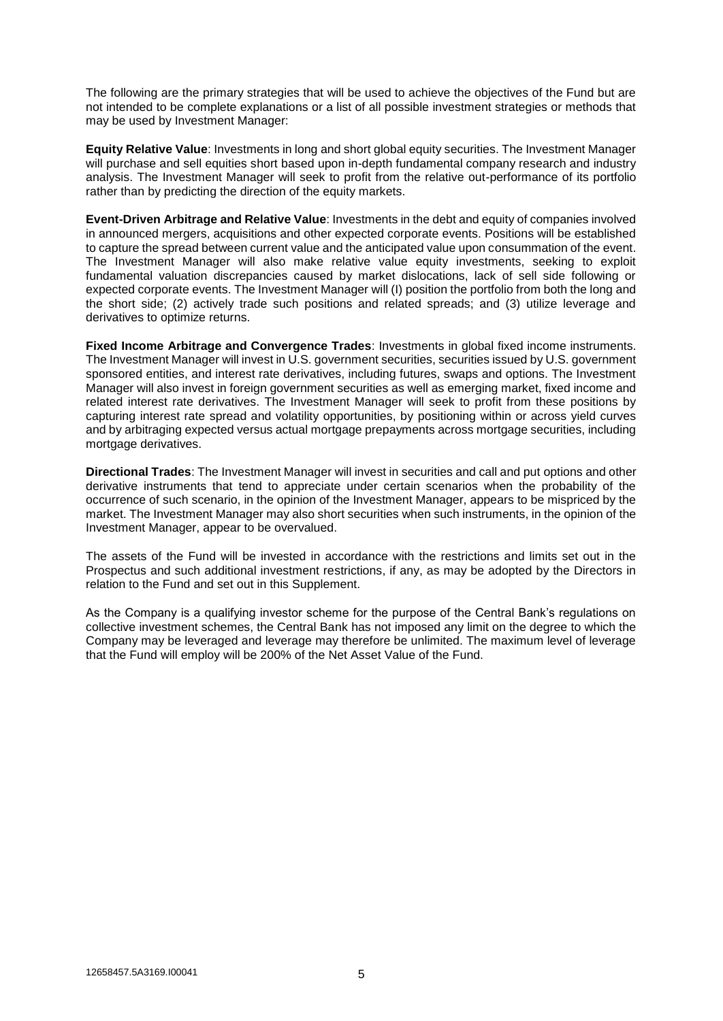The following are the primary strategies that will be used to achieve the objectives of the Fund but are not intended to be complete explanations or a list of all possible investment strategies or methods that may be used by Investment Manager:

**Equity Relative Value**: Investments in long and short global equity securities. The Investment Manager will purchase and sell equities short based upon in-depth fundamental company research and industry analysis. The Investment Manager will seek to profit from the relative out-performance of its portfolio rather than by predicting the direction of the equity markets.

**Event-Driven Arbitrage and Relative Value**: Investments in the debt and equity of companies involved in announced mergers, acquisitions and other expected corporate events. Positions will be established to capture the spread between current value and the anticipated value upon consummation of the event. The Investment Manager will also make relative value equity investments, seeking to exploit fundamental valuation discrepancies caused by market dislocations, lack of sell side following or expected corporate events. The Investment Manager will (I) position the portfolio from both the long and the short side; (2) actively trade such positions and related spreads; and (3) utilize leverage and derivatives to optimize returns.

**Fixed Income Arbitrage and Convergence Trades**: Investments in global fixed income instruments. The Investment Manager will invest in U.S. government securities, securities issued by U.S. government sponsored entities, and interest rate derivatives, including futures, swaps and options. The Investment Manager will also invest in foreign government securities as well as emerging market, fixed income and related interest rate derivatives. The Investment Manager will seek to profit from these positions by capturing interest rate spread and volatility opportunities, by positioning within or across yield curves and by arbitraging expected versus actual mortgage prepayments across mortgage securities, including mortgage derivatives.

**Directional Trades**: The Investment Manager will invest in securities and call and put options and other derivative instruments that tend to appreciate under certain scenarios when the probability of the occurrence of such scenario, in the opinion of the Investment Manager, appears to be mispriced by the market. The Investment Manager may also short securities when such instruments, in the opinion of the Investment Manager, appear to be overvalued.

The assets of the Fund will be invested in accordance with the restrictions and limits set out in the Prospectus and such additional investment restrictions, if any, as may be adopted by the Directors in relation to the Fund and set out in this Supplement.

As the Company is a qualifying investor scheme for the purpose of the Central Bank's regulations on collective investment schemes, the Central Bank has not imposed any limit on the degree to which the Company may be leveraged and leverage may therefore be unlimited. The maximum level of leverage that the Fund will employ will be 200% of the Net Asset Value of the Fund.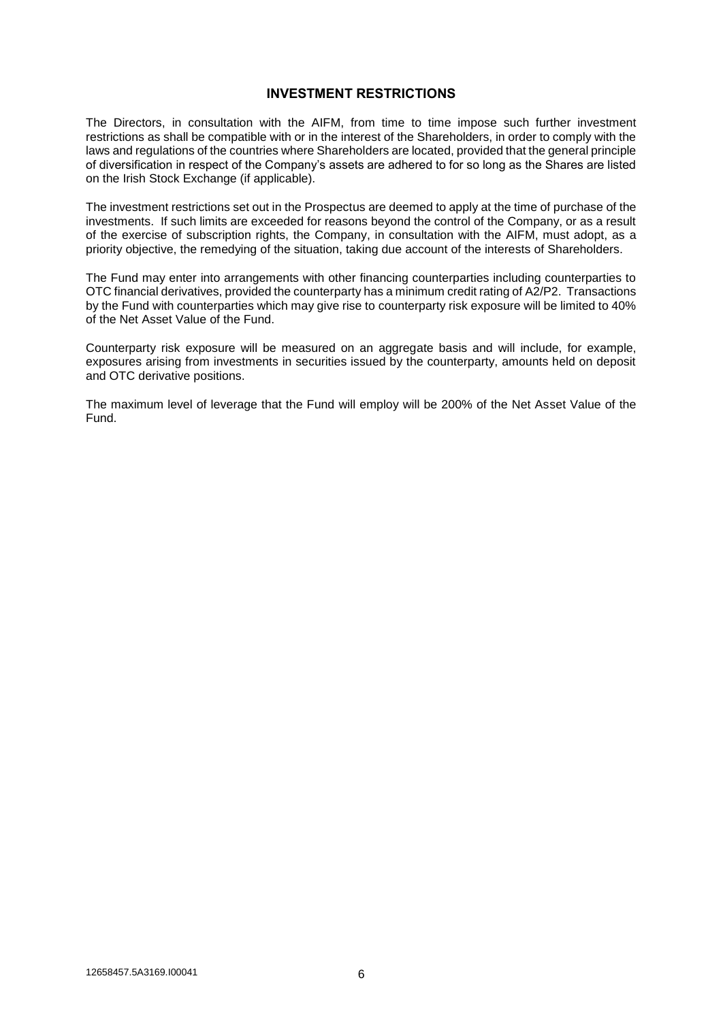#### **INVESTMENT RESTRICTIONS**

The Directors, in consultation with the AIFM, from time to time impose such further investment restrictions as shall be compatible with or in the interest of the Shareholders, in order to comply with the laws and regulations of the countries where Shareholders are located, provided that the general principle of diversification in respect of the Company's assets are adhered to for so long as the Shares are listed on the Irish Stock Exchange (if applicable).

The investment restrictions set out in the Prospectus are deemed to apply at the time of purchase of the investments. If such limits are exceeded for reasons beyond the control of the Company, or as a result of the exercise of subscription rights, the Company, in consultation with the AIFM, must adopt, as a priority objective, the remedying of the situation, taking due account of the interests of Shareholders.

The Fund may enter into arrangements with other financing counterparties including counterparties to OTC financial derivatives, provided the counterparty has a minimum credit rating of A2/P2. Transactions by the Fund with counterparties which may give rise to counterparty risk exposure will be limited to 40% of the Net Asset Value of the Fund.

Counterparty risk exposure will be measured on an aggregate basis and will include, for example, exposures arising from investments in securities issued by the counterparty, amounts held on deposit and OTC derivative positions.

The maximum level of leverage that the Fund will employ will be 200% of the Net Asset Value of the Fund.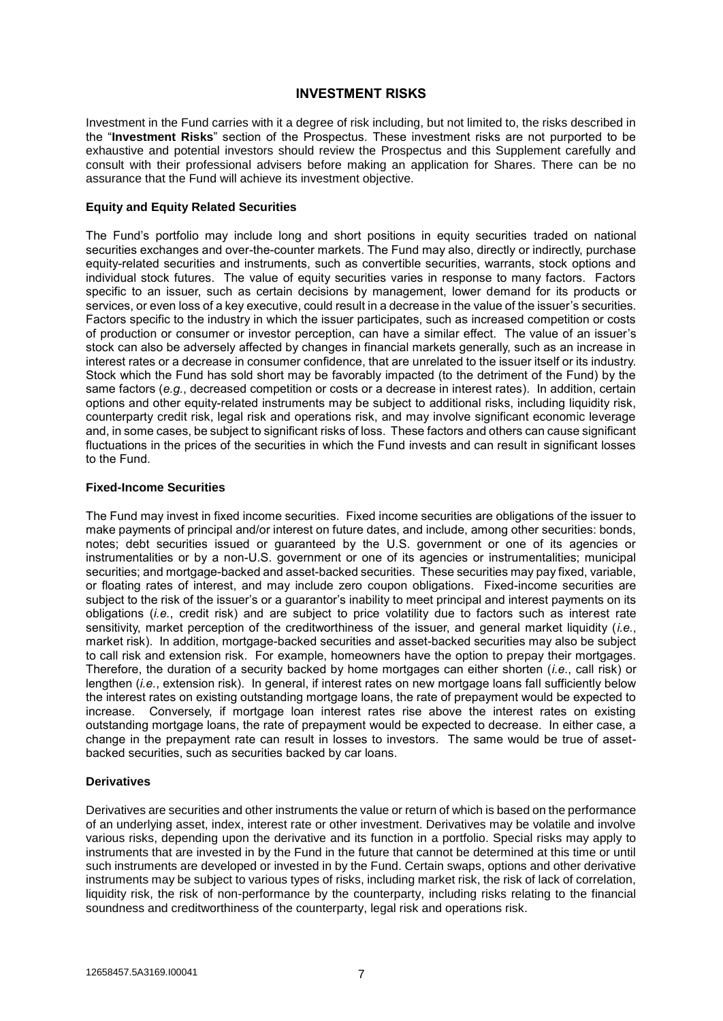#### **INVESTMENT RISKS**

Investment in the Fund carries with it a degree of risk including, but not limited to, the risks described in the "**Investment Risks**" section of the Prospectus. These investment risks are not purported to be exhaustive and potential investors should review the Prospectus and this Supplement carefully and consult with their professional advisers before making an application for Shares. There can be no assurance that the Fund will achieve its investment objective.

#### **Equity and Equity Related Securities**

The Fund's portfolio may include long and short positions in equity securities traded on national securities exchanges and over-the-counter markets. The Fund may also, directly or indirectly, purchase equity-related securities and instruments, such as convertible securities, warrants, stock options and individual stock futures. The value of equity securities varies in response to many factors. Factors specific to an issuer, such as certain decisions by management, lower demand for its products or services, or even loss of a key executive, could result in a decrease in the value of the issuer's securities. Factors specific to the industry in which the issuer participates, such as increased competition or costs of production or consumer or investor perception, can have a similar effect. The value of an issuer's stock can also be adversely affected by changes in financial markets generally, such as an increase in interest rates or a decrease in consumer confidence, that are unrelated to the issuer itself or its industry. Stock which the Fund has sold short may be favorably impacted (to the detriment of the Fund) by the same factors (e.g., decreased competition or costs or a decrease in interest rates). In addition, certain options and other equity-related instruments may be subject to additional risks, including liquidity risk, counterparty credit risk, legal risk and operations risk, and may involve significant economic leverage and, in some cases, be subject to significant risks of loss. These factors and others can cause significant fluctuations in the prices of the securities in which the Fund invests and can result in significant losses to the Fund.

#### **Fixed-Income Securities**

The Fund may invest in fixed income securities. Fixed income securities are obligations of the issuer to make payments of principal and/or interest on future dates, and include, among other securities: bonds, notes; debt securities issued or guaranteed by the U.S. government or one of its agencies or instrumentalities or by a non-U.S. government or one of its agencies or instrumentalities; municipal securities; and mortgage-backed and asset-backed securities. These securities may pay fixed, variable, or floating rates of interest, and may include zero coupon obligations. Fixed-income securities are subject to the risk of the issuer's or a guarantor's inability to meet principal and interest payments on its obligations (*i.e.*, credit risk) and are subject to price volatility due to factors such as interest rate sensitivity, market perception of the creditworthiness of the issuer, and general market liquidity (*i.e.*, market risk). In addition, mortgage-backed securities and asset-backed securities may also be subject to call risk and extension risk. For example, homeowners have the option to prepay their mortgages. Therefore, the duration of a security backed by home mortgages can either shorten (*i.e.*, call risk) or lengthen (*i.e.*, extension risk). In general, if interest rates on new mortgage loans fall sufficiently below the interest rates on existing outstanding mortgage loans, the rate of prepayment would be expected to increase. Conversely, if mortgage loan interest rates rise above the interest rates on existing outstanding mortgage loans, the rate of prepayment would be expected to decrease. In either case, a change in the prepayment rate can result in losses to investors. The same would be true of assetbacked securities, such as securities backed by car loans.

#### **Derivatives**

Derivatives are securities and other instruments the value or return of which is based on the performance of an underlying asset, index, interest rate or other investment. Derivatives may be volatile and involve various risks, depending upon the derivative and its function in a portfolio. Special risks may apply to instruments that are invested in by the Fund in the future that cannot be determined at this time or until such instruments are developed or invested in by the Fund. Certain swaps, options and other derivative instruments may be subject to various types of risks, including market risk, the risk of lack of correlation, liquidity risk, the risk of non-performance by the counterparty, including risks relating to the financial soundness and creditworthiness of the counterparty, legal risk and operations risk.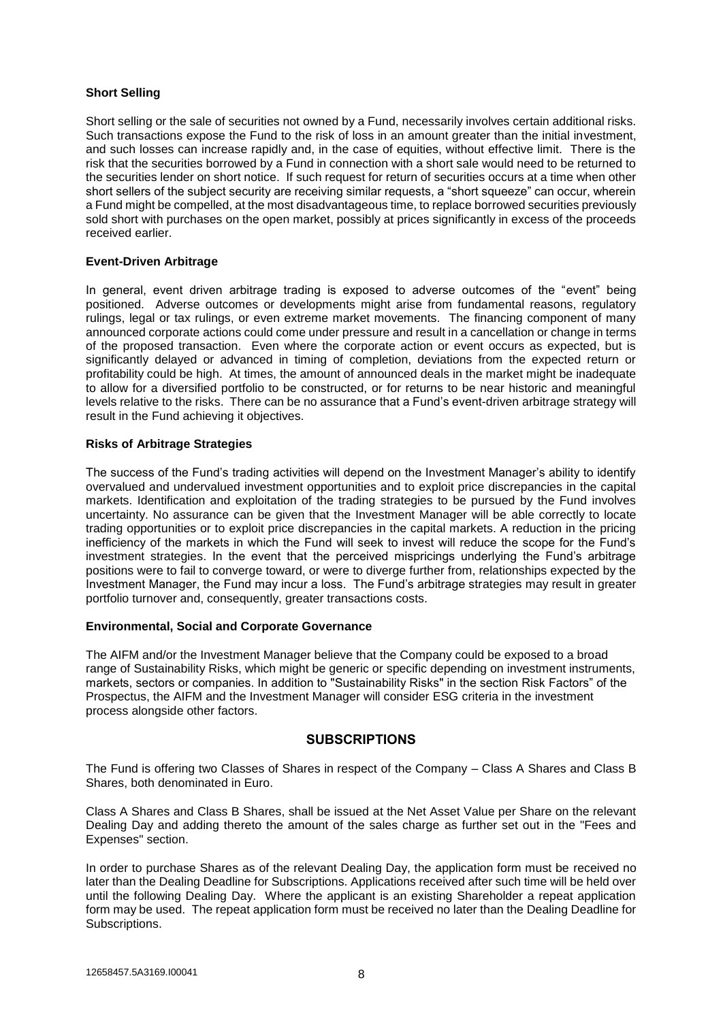#### **Short Selling**

Short selling or the sale of securities not owned by a Fund, necessarily involves certain additional risks. Such transactions expose the Fund to the risk of loss in an amount greater than the initial investment, and such losses can increase rapidly and, in the case of equities, without effective limit. There is the risk that the securities borrowed by a Fund in connection with a short sale would need to be returned to the securities lender on short notice. If such request for return of securities occurs at a time when other short sellers of the subject security are receiving similar requests, a "short squeeze" can occur, wherein a Fund might be compelled, at the most disadvantageous time, to replace borrowed securities previously sold short with purchases on the open market, possibly at prices significantly in excess of the proceeds received earlier.

#### **Event-Driven Arbitrage**

In general, event driven arbitrage trading is exposed to adverse outcomes of the "event" being positioned. Adverse outcomes or developments might arise from fundamental reasons, regulatory rulings, legal or tax rulings, or even extreme market movements. The financing component of many announced corporate actions could come under pressure and result in a cancellation or change in terms of the proposed transaction. Even where the corporate action or event occurs as expected, but is significantly delayed or advanced in timing of completion, deviations from the expected return or profitability could be high. At times, the amount of announced deals in the market might be inadequate to allow for a diversified portfolio to be constructed, or for returns to be near historic and meaningful levels relative to the risks. There can be no assurance that a Fund's event-driven arbitrage strategy will result in the Fund achieving it objectives.

#### **Risks of Arbitrage Strategies**

The success of the Fund's trading activities will depend on the Investment Manager's ability to identify overvalued and undervalued investment opportunities and to exploit price discrepancies in the capital markets. Identification and exploitation of the trading strategies to be pursued by the Fund involves uncertainty. No assurance can be given that the Investment Manager will be able correctly to locate trading opportunities or to exploit price discrepancies in the capital markets. A reduction in the pricing inefficiency of the markets in which the Fund will seek to invest will reduce the scope for the Fund's investment strategies. In the event that the perceived mispricings underlying the Fund's arbitrage positions were to fail to converge toward, or were to diverge further from, relationships expected by the Investment Manager, the Fund may incur a loss. The Fund's arbitrage strategies may result in greater portfolio turnover and, consequently, greater transactions costs.

#### **Environmental, Social and Corporate Governance**

The AIFM and/or the Investment Manager believe that the Company could be exposed to a broad range of Sustainability Risks, which might be generic or specific depending on investment instruments, markets, sectors or companies. In addition to "Sustainability Risks" in the section Risk Factors" of the Prospectus, the AIFM and the Investment Manager will consider ESG criteria in the investment process alongside other factors.

#### **SUBSCRIPTIONS**

The Fund is offering two Classes of Shares in respect of the Company – Class A Shares and Class B Shares, both denominated in Euro.

Class A Shares and Class B Shares, shall be issued at the Net Asset Value per Share on the relevant Dealing Day and adding thereto the amount of the sales charge as further set out in the "Fees and Expenses" section.

In order to purchase Shares as of the relevant Dealing Day, the application form must be received no later than the Dealing Deadline for Subscriptions. Applications received after such time will be held over until the following Dealing Day. Where the applicant is an existing Shareholder a repeat application form may be used. The repeat application form must be received no later than the Dealing Deadline for Subscriptions.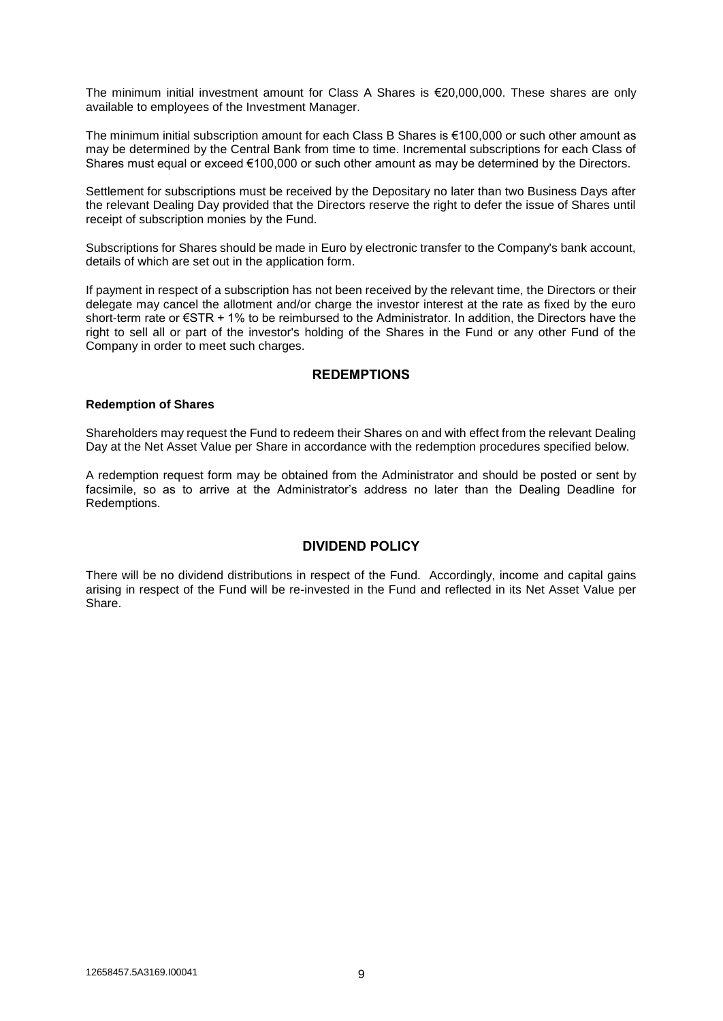The minimum initial investment amount for Class A Shares is €20,000,000. These shares are only available to employees of the Investment Manager.

The minimum initial subscription amount for each Class B Shares is €100,000 or such other amount as may be determined by the Central Bank from time to time. Incremental subscriptions for each Class of Shares must equal or exceed €100,000 or such other amount as may be determined by the Directors.

Settlement for subscriptions must be received by the Depositary no later than two Business Days after the relevant Dealing Day provided that the Directors reserve the right to defer the issue of Shares until receipt of subscription monies by the Fund.

Subscriptions for Shares should be made in Euro by electronic transfer to the Company's bank account, details of which are set out in the application form.

If payment in respect of a subscription has not been received by the relevant time, the Directors or their delegate may cancel the allotment and/or charge the investor interest at the rate as fixed by the euro short-term rate or €STR + 1% to be reimbursed to the Administrator. In addition, the Directors have the right to sell all or part of the investor's holding of the Shares in the Fund or any other Fund of the Company in order to meet such charges.

#### **REDEMPTIONS**

#### **Redemption of Shares**

Shareholders may request the Fund to redeem their Shares on and with effect from the relevant Dealing Day at the Net Asset Value per Share in accordance with the redemption procedures specified below.

A redemption request form may be obtained from the Administrator and should be posted or sent by facsimile, so as to arrive at the Administrator's address no later than the Dealing Deadline for Redemptions.

#### **DIVIDEND POLICY**

There will be no dividend distributions in respect of the Fund. Accordingly, income and capital gains arising in respect of the Fund will be re-invested in the Fund and reflected in its Net Asset Value per Share.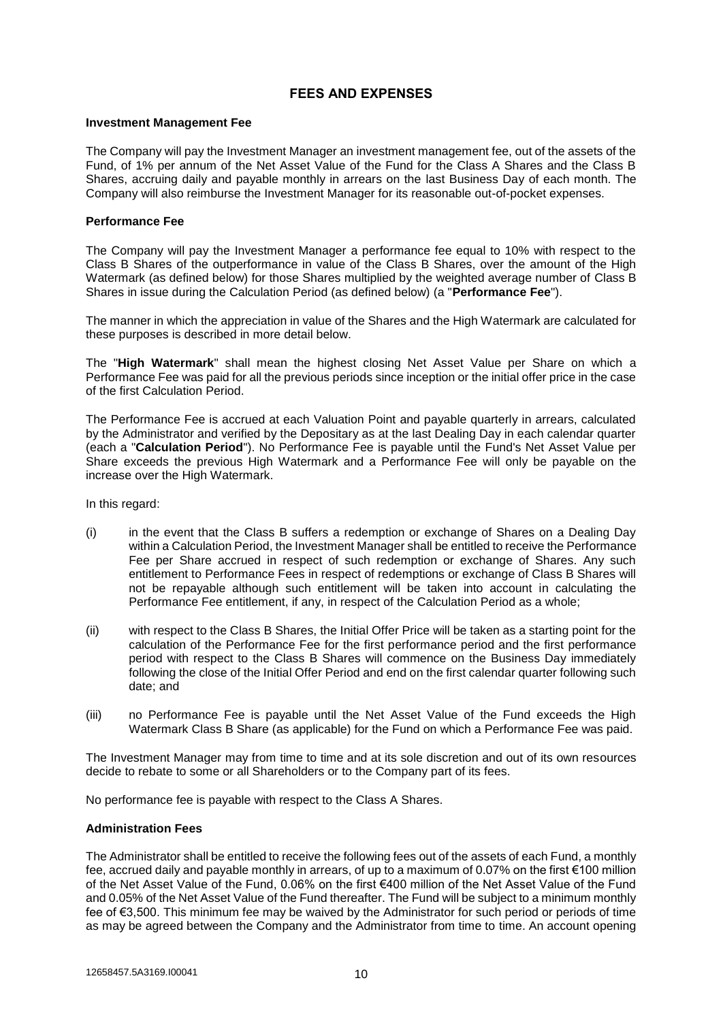#### **FEES AND EXPENSES**

#### **Investment Management Fee**

The Company will pay the Investment Manager an investment management fee, out of the assets of the Fund, of 1% per annum of the Net Asset Value of the Fund for the Class A Shares and the Class B Shares, accruing daily and payable monthly in arrears on the last Business Day of each month. The Company will also reimburse the Investment Manager for its reasonable out-of-pocket expenses.

#### **Performance Fee**

The Company will pay the Investment Manager a performance fee equal to 10% with respect to the Class B Shares of the outperformance in value of the Class B Shares, over the amount of the High Watermark (as defined below) for those Shares multiplied by the weighted average number of Class B Shares in issue during the Calculation Period (as defined below) (a "**Performance Fee**").

The manner in which the appreciation in value of the Shares and the High Watermark are calculated for these purposes is described in more detail below.

The "**High Watermark**" shall mean the highest closing Net Asset Value per Share on which a Performance Fee was paid for all the previous periods since inception or the initial offer price in the case of the first Calculation Period.

The Performance Fee is accrued at each Valuation Point and payable quarterly in arrears, calculated by the Administrator and verified by the Depositary as at the last Dealing Day in each calendar quarter (each a "**Calculation Period**"). No Performance Fee is payable until the Fund's Net Asset Value per Share exceeds the previous High Watermark and a Performance Fee will only be payable on the increase over the High Watermark.

In this regard:

- (i) in the event that the Class B suffers a redemption or exchange of Shares on a Dealing Day within a Calculation Period, the Investment Manager shall be entitled to receive the Performance Fee per Share accrued in respect of such redemption or exchange of Shares. Any such entitlement to Performance Fees in respect of redemptions or exchange of Class B Shares will not be repayable although such entitlement will be taken into account in calculating the Performance Fee entitlement, if any, in respect of the Calculation Period as a whole;
- (ii) with respect to the Class B Shares, the Initial Offer Price will be taken as a starting point for the calculation of the Performance Fee for the first performance period and the first performance period with respect to the Class B Shares will commence on the Business Day immediately following the close of the Initial Offer Period and end on the first calendar quarter following such date; and
- (iii) no Performance Fee is payable until the Net Asset Value of the Fund exceeds the High Watermark Class B Share (as applicable) for the Fund on which a Performance Fee was paid.

The Investment Manager may from time to time and at its sole discretion and out of its own resources decide to rebate to some or all Shareholders or to the Company part of its fees.

No performance fee is payable with respect to the Class A Shares.

#### **Administration Fees**

The Administrator shall be entitled to receive the following fees out of the assets of each Fund, a monthly fee, accrued daily and payable monthly in arrears, of up to a maximum of 0.07% on the first €100 million of the Net Asset Value of the Fund, 0.06% on the first €400 million of the Net Asset Value of the Fund and 0.05% of the Net Asset Value of the Fund thereafter. The Fund will be subject to a minimum monthly fee of €3,500. This minimum fee may be waived by the Administrator for such period or periods of time as may be agreed between the Company and the Administrator from time to time. An account opening